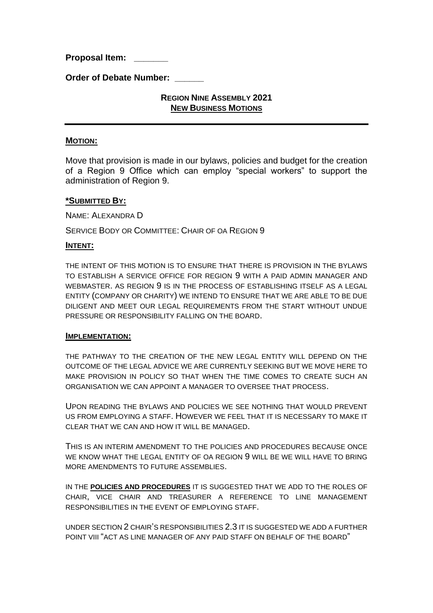**Proposal Item: \_\_\_\_\_\_\_** 

**Order of Debate Number:** 

# **REGION NINE ASSEMBLY 2021 NEW BUSINESS MOTIONS**

### **MOTION:**

Move that provision is made in our bylaws, policies and budget for the creation of a Region 9 Office which can employ "special workers" to support the administration of Region 9.

#### **\*SUBMITTED BY:**

NAME: ALEXANDRA D

SERVICE BODY OR COMMITTEE: CHAIR OF OA REGION 9

#### **INTENT:**

THE INTENT OF THIS MOTION IS TO ENSURE THAT THERE IS PROVISION IN THE BYLAWS TO ESTABLISH A SERVICE OFFICE FOR REGION 9 WITH A PAID ADMIN MANAGER AND WEBMASTER. AS REGION 9 IS IN THE PROCESS OF ESTABLISHING ITSELF AS A LEGAL ENTITY (COMPANY OR CHARITY) WE INTEND TO ENSURE THAT WE ARE ABLE TO BE DUE DILIGENT AND MEET OUR LEGAL REQUIREMENTS FROM THE START WITHOUT UNDUE PRESSURE OR RESPONSIBILITY FALLING ON THE BOARD.

#### **IMPLEMENTATION:**

THE PATHWAY TO THE CREATION OF THE NEW LEGAL ENTITY WILL DEPEND ON THE OUTCOME OF THE LEGAL ADVICE WE ARE CURRENTLY SEEKING BUT WE MOVE HERE TO MAKE PROVISION IN POLICY SO THAT WHEN THE TIME COMES TO CREATE SUCH AN ORGANISATION WE CAN APPOINT A MANAGER TO OVERSEE THAT PROCESS.

UPON READING THE BYLAWS AND POLICIES WE SEE NOTHING THAT WOULD PREVENT US FROM EMPLOYING A STAFF. HOWEVER WE FEEL THAT IT IS NECESSARY TO MAKE IT CLEAR THAT WE CAN AND HOW IT WILL BE MANAGED.

THIS IS AN INTERIM AMENDMENT TO THE POLICIES AND PROCEDURES BECAUSE ONCE WE KNOW WHAT THE LEGAL ENTITY OF OA REGION 9 WILL BE WE WILL HAVE TO BRING MORE AMENDMENTS TO FUTURE ASSEMBLIES.

IN THE **POLICIES AND PROCEDURES** IT IS SUGGESTED THAT WE ADD TO THE ROLES OF CHAIR, VICE CHAIR AND TREASURER A REFERENCE TO LINE MANAGEMENT RESPONSIBILITIES IN THE EVENT OF EMPLOYING STAFF.

UNDER SECTION 2 CHAIR'S RESPONSIBILITIES 2.3 IT IS SUGGESTED WE ADD A FURTHER POINT VIII "ACT AS LINE MANAGER OF ANY PAID STAFF ON BEHALF OF THE BOARD"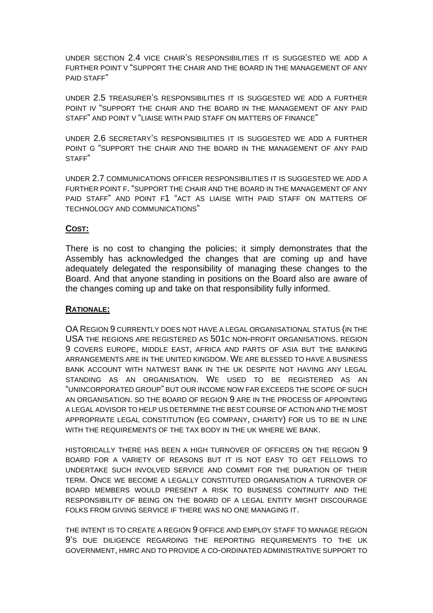UNDER SECTION 2.4 VICE CHAIR'S RESPONSIBILITIES IT IS SUGGESTED WE ADD A FURTHER POINT V "SUPPORT THE CHAIR AND THE BOARD IN THE MANAGEMENT OF ANY PAID STAFF"

UNDER 2.5 TREASURER'S RESPONSIBILITIES IT IS SUGGESTED WE ADD A FURTHER POINT IV "SUPPORT THE CHAIR AND THE BOARD IN THE MANAGEMENT OF ANY PAID STAFF" AND POINT V "LIAISE WITH PAID STAFF ON MATTERS OF FINANCE"

UNDER 2.6 SECRETARY'S RESPONSIBILITIES IT IS SUGGESTED WE ADD A FURTHER POINT G "SUPPORT THE CHAIR AND THE BOARD IN THE MANAGEMENT OF ANY PAID STAFF"

UNDER 2.7 COMMUNICATIONS OFFICER RESPONSIBILITIES IT IS SUGGESTED WE ADD A FURTHER POINT F. "SUPPORT THE CHAIR AND THE BOARD IN THE MANAGEMENT OF ANY PAID STAFF" AND POINT F1 "ACT AS LIAISE WITH PAID STAFF ON MATTERS OF TECHNOLOGY AND COMMUNICATIONS"

# **COST:**

There is no cost to changing the policies; it simply demonstrates that the Assembly has acknowledged the changes that are coming up and have adequately delegated the responsibility of managing these changes to the Board. And that anyone standing in positions on the Board also are aware of the changes coming up and take on that responsibility fully informed.

### **RATIONALE:**

OA REGION 9 CURRENTLY DOES NOT HAVE A LEGAL ORGANISATIONAL STATUS (IN THE USA THE REGIONS ARE REGISTERED AS 501C NON-PROFIT ORGANISATIONS. REGION 9 COVERS EUROPE, MIDDLE EAST, AFRICA AND PARTS OF ASIA BUT THE BANKING ARRANGEMENTS ARE IN THE UNITED KINGDOM. WE ARE BLESSED TO HAVE A BUSINESS BANK ACCOUNT WITH NATWEST BANK IN THE UK DESPITE NOT HAVING ANY LEGAL STANDING AS AN ORGANISATION. WE USED TO BE REGISTERED AS AN "UNINCORPORATED GROUP" BUT OUR INCOME NOW FAR EXCEEDS THE SCOPE OF SUCH AN ORGANISATION. SO THE BOARD OF REGION 9 ARE IN THE PROCESS OF APPOINTING A LEGAL ADVISOR TO HELP US DETERMINE THE BEST COURSE OF ACTION AND THE MOST APPROPRIATE LEGAL CONSTITUTION (EG COMPANY, CHARITY) FOR US TO BE IN LINE WITH THE REQUIREMENTS OF THE TAX BODY IN THE UK WHERE WE BANK.

HISTORICALLY THERE HAS BEEN A HIGH TURNOVER OF OFFICERS ON THE REGION 9 BOARD FOR A VARIETY OF REASONS BUT IT IS NOT EASY TO GET FELLOWS TO UNDERTAKE SUCH INVOLVED SERVICE AND COMMIT FOR THE DURATION OF THEIR TERM. ONCE WE BECOME A LEGALLY CONSTITUTED ORGANISATION A TURNOVER OF BOARD MEMBERS WOULD PRESENT A RISK TO BUSINESS CONTINUITY AND THE RESPONSIBILITY OF BEING ON THE BOARD OF A LEGAL ENTITY MIGHT DISCOURAGE FOLKS FROM GIVING SERVICE IF THERE WAS NO ONE MANAGING IT.

THE INTENT IS TO CREATE A REGION 9 OFFICE AND EMPLOY STAFF TO MANAGE REGION 9'S DUE DILIGENCE REGARDING THE REPORTING REQUIREMENTS TO THE UK GOVERNMENT, HMRC AND TO PROVIDE A CO-ORDINATED ADMINISTRATIVE SUPPORT TO